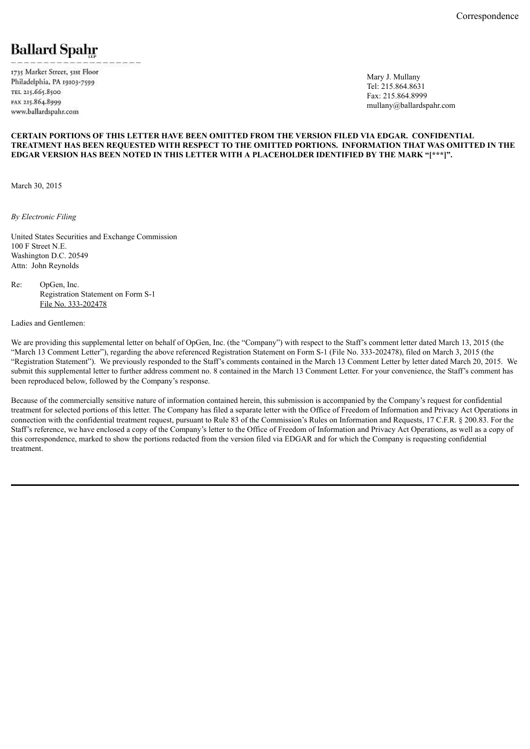# **Ballard Spahr**

1735 Market Street, 51st Floor Philadelphia, PA 19103-7599 TEL 215.665.8500 FAX 215.864.8999 www.ballardspahr.com

Mary J. Mullany Tel: 215.864.8631 Fax: 215.864.8999 mullany@ballardspahr.com

#### **CERTAIN PORTIONS OF THIS LETTER HAVE BEEN OMITTED FROM THE VERSION FILED VIA EDGAR. CONFIDENTIAL TREATMENT HAS BEEN REQUESTED WITH RESPECT TO THE OMITTED PORTIONS. INFORMATION THAT WAS OMITTED IN THE EDGAR VERSION HAS BEEN NOTED IN THIS LETTER WITH A PLACEHOLDER IDENTIFIED BY THE MARK "[\*\*\*]".**

March 30, 2015

*By Electronic Filing*

United States Securities and Exchange Commission 100 F Street N.E. Washington D.C. 20549 Attn: John Reynolds

Re: OpGen, Inc. Registration Statement on Form S-1 File No. 333-202478

Ladies and Gentlemen:

We are providing this supplemental letter on behalf of OpGen, Inc. (the "Company") with respect to the Staff's comment letter dated March 13, 2015 (the "March 13 Comment Letter"), regarding the above referenced Registration Statement on Form S-1 (File No. 333-202478), filed on March 3, 2015 (the "Registration Statement"). We previously responded to the Staff's comments contained in the March 13 Comment Letter by letter dated March 20, 2015. We submit this supplemental letter to further address comment no. 8 contained in the March 13 Comment Letter. For your convenience, the Staff's comment has been reproduced below, followed by the Company's response.

Because of the commercially sensitive nature of information contained herein, this submission is accompanied by the Company's request for confidential treatment for selected portions of this letter. The Company has filed a separate letter with the Office of Freedom of Information and Privacy Act Operations in connection with the confidential treatment request, pursuant to Rule 83 of the Commission's Rules on Information and Requests, 17 C.F.R. § 200.83. For the Staff's reference, we have enclosed a copy of the Company's letter to the Office of Freedom of Information and Privacy Act Operations, as well as a copy of this correspondence, marked to show the portions redacted from the version filed via EDGAR and for which the Company is requesting confidential treatment.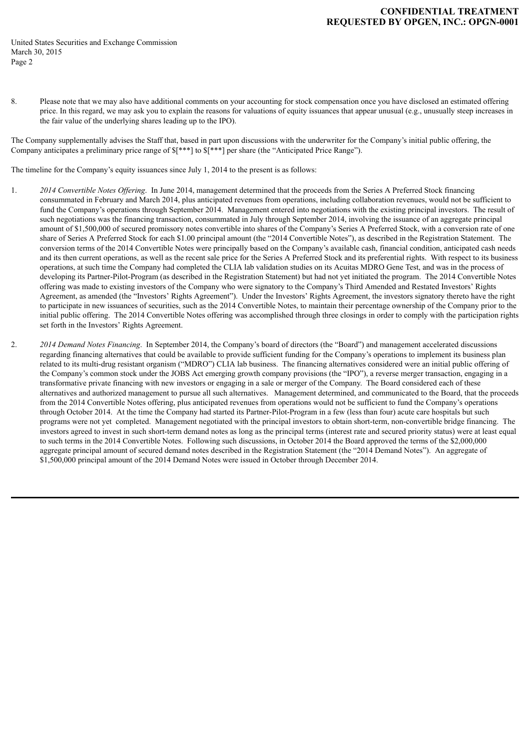### **CONFIDENTIAL TREATMENT REQUESTED BY OPGEN, INC.: OPGN-0001**

United States Securities and Exchange Commission March 30, 2015 Page 2

8. Please note that we may also have additional comments on your accounting for stock compensation once you have disclosed an estimated offering price. In this regard, we may ask you to explain the reasons for valuations of equity issuances that appear unusual (e.g., unusually steep increases in the fair value of the underlying shares leading up to the IPO).

The Company supplementally advises the Staff that, based in part upon discussions with the underwriter for the Company's initial public offering, the Company anticipates a preliminary price range of  $\frac{1}{s}$  at  $s$ [\*\*\*] per share (the "Anticipated Price Range").

The timeline for the Company's equity issuances since July 1, 2014 to the present is as follows:

- 1. *2014 Convertible Notes Of ering*. In June 2014, management determined that the proceeds from the Series A Preferred Stock financing consummated in February and March 2014, plus anticipated revenues from operations, including collaboration revenues, would not be sufficient to fund the Company's operations through September 2014. Management entered into negotiations with the existing principal investors. The result of such negotiations was the financing transaction, consummated in July through September 2014, involving the issuance of an aggregate principal amount of \$1,500,000 of secured promissory notes convertible into shares of the Company's Series A Preferred Stock, with a conversion rate of one share of Series A Preferred Stock for each \$1.00 principal amount (the "2014 Convertible Notes"), as described in the Registration Statement. The conversion terms of the 2014 Convertible Notes were principally based on the Company's available cash, financial condition, anticipated cash needs and its then current operations, as well as the recent sale price for the Series A Preferred Stock and its preferential rights. With respect to its business operations, at such time the Company had completed the CLIA lab validation studies on its Acuitas MDRO Gene Test, and was in the process of developing its Partner-Pilot-Program (as described in the Registration Statement) but had not yet initiated the program. The 2014 Convertible Notes offering was made to existing investors of the Company who were signatory to the Company's Third Amended and Restated Investors' Rights Agreement, as amended (the "Investors' Rights Agreement"). Under the Investors' Rights Agreement, the investors signatory thereto have the right to participate in new issuances of securities, such as the 2014 Convertible Notes, to maintain their percentage ownership of the Company prior to the initial public offering. The 2014 Convertible Notes offering was accomplished through three closings in order to comply with the participation rights set forth in the Investors' Rights Agreement.
- 2. *2014 Demand Notes Financing*. In September 2014, the Company's board of directors (the "Board") and management accelerated discussions regarding financing alternatives that could be available to provide sufficient funding for the Company's operations to implement its business plan related to its multi-drug resistant organism ("MDRO") CLIA lab business. The financing alternatives considered were an initial public offering of the Company's common stock under the JOBS Act emerging growth company provisions (the "IPO"), a reverse merger transaction, engaging in a transformative private financing with new investors or engaging in a sale or merger of the Company. The Board considered each of these alternatives and authorized management to pursue all such alternatives. Management determined, and communicated to the Board, that the proceeds from the 2014 Convertible Notes offering, plus anticipated revenues from operations would not be sufficient to fund the Company's operations through October 2014. At the time the Company had started its Partner-Pilot-Program in a few (less than four) acute care hospitals but such programs were not yet completed. Management negotiated with the principal investors to obtain short-term, non-convertible bridge financing. The investors agreed to invest in such short-term demand notes as long as the principal terms (interest rate and secured priority status) were at least equal to such terms in the 2014 Convertible Notes. Following such discussions, in October 2014 the Board approved the terms of the \$2,000,000 aggregate principal amount of secured demand notes described in the Registration Statement (the "2014 Demand Notes"). An aggregate of \$1,500,000 principal amount of the 2014 Demand Notes were issued in October through December 2014.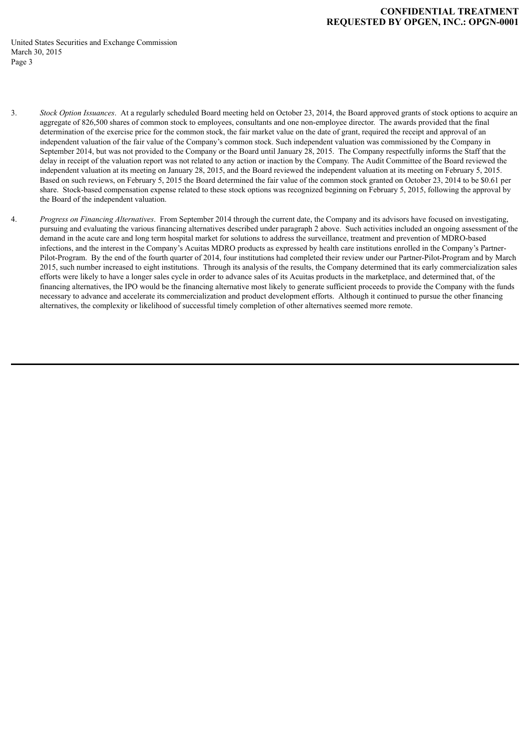## **CONFIDENTIAL TREATMENT REQUESTED BY OPGEN, INC.: OPGN-0001**

United States Securities and Exchange Commission March 30, 2015 Page 3

- 3. *Stock Option Issuances*. At a regularly scheduled Board meeting held on October 23, 2014, the Board approved grants of stock options to acquire an aggregate of 826,500 shares of common stock to employees, consultants and one non-employee director. The awards provided that the final determination of the exercise price for the common stock, the fair market value on the date of grant, required the receipt and approval of an independent valuation of the fair value of the Company's common stock. Such independent valuation was commissioned by the Company in September 2014, but was not provided to the Company or the Board until January 28, 2015. The Company respectfully informs the Staff that the delay in receipt of the valuation report was not related to any action or inaction by the Company. The Audit Committee of the Board reviewed the independent valuation at its meeting on January 28, 2015, and the Board reviewed the independent valuation at its meeting on February 5, 2015. Based on such reviews, on February 5, 2015 the Board determined the fair value of the common stock granted on October 23, 2014 to be \$0.61 per share. Stock-based compensation expense related to these stock options was recognized beginning on February 5, 2015, following the approval by the Board of the independent valuation.
- 4. *Progress on Financing Alternatives*. From September 2014 through the current date, the Company and its advisors have focused on investigating, pursuing and evaluating the various financing alternatives described under paragraph 2 above. Such activities included an ongoing assessment of the demand in the acute care and long term hospital market for solutions to address the surveillance, treatment and prevention of MDRO-based infections, and the interest in the Company's Acuitas MDRO products as expressed by health care institutions enrolled in the Company's Partner-Pilot-Program. By the end of the fourth quarter of 2014, four institutions had completed their review under our Partner-Pilot-Program and by March 2015, such number increased to eight institutions. Through its analysis of the results, the Company determined that its early commercialization sales efforts were likely to have a longer sales cycle in order to advance sales of its Acuitas products in the marketplace, and determined that, of the financing alternatives, the IPO would be the financing alternative most likely to generate sufficient proceeds to provide the Company with the funds necessary to advance and accelerate its commercialization and product development efforts. Although it continued to pursue the other financing alternatives, the complexity or likelihood of successful timely completion of other alternatives seemed more remote.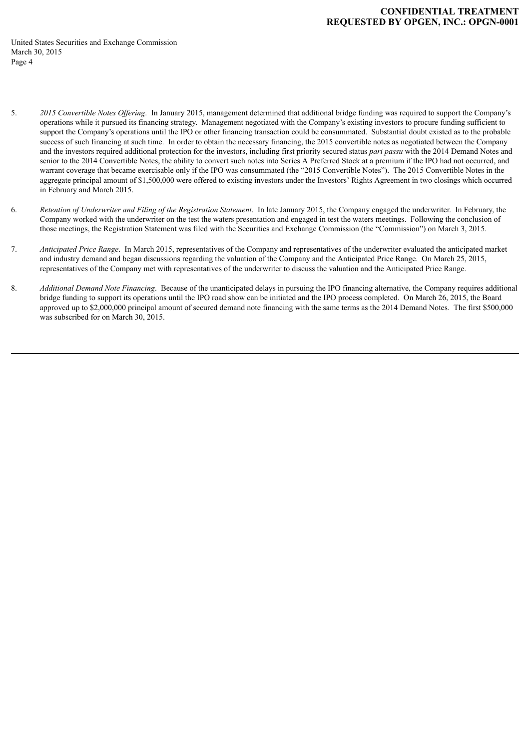- 5. *2015 Convertible Notes Of ering*. In January 2015, management determined that additional bridge funding was required to support the Company's operations while it pursued its financing strategy. Management negotiated with the Company's existing investors to procure funding sufficient to support the Company's operations until the IPO or other financing transaction could be consummated. Substantial doubt existed as to the probable success of such financing at such time. In order to obtain the necessary financing, the 2015 convertible notes as negotiated between the Company and the investors required additional protection for the investors, including first priority secured status *pari passu* with the 2014 Demand Notes and senior to the 2014 Convertible Notes, the ability to convert such notes into Series A Preferred Stock at a premium if the IPO had not occurred, and warrant coverage that became exercisable only if the IPO was consummated (the "2015 Convertible Notes"). The 2015 Convertible Notes in the aggregate principal amount of \$1,500,000 were offered to existing investors under the Investors' Rights Agreement in two closings which occurred in February and March 2015.
- 6. *Retention of Underwriter and Filing of the Registration Statement*. In late January 2015, the Company engaged the underwriter. In February, the Company worked with the underwriter on the test the waters presentation and engaged in test the waters meetings. Following the conclusion of those meetings, the Registration Statement was filed with the Securities and Exchange Commission (the "Commission") on March 3, 2015.
- 7. *Anticipated Price Range*. In March 2015, representatives of the Company and representatives of the underwriter evaluated the anticipated market and industry demand and began discussions regarding the valuation of the Company and the Anticipated Price Range. On March 25, 2015, representatives of the Company met with representatives of the underwriter to discuss the valuation and the Anticipated Price Range.
- 8. *Additional Demand Note Financing*. Because of the unanticipated delays in pursuing the IPO financing alternative, the Company requires additional bridge funding to support its operations until the IPO road show can be initiated and the IPO process completed. On March 26, 2015, the Board approved up to \$2,000,000 principal amount of secured demand note financing with the same terms as the 2014 Demand Notes. The first \$500,000 was subscribed for on March 30, 2015.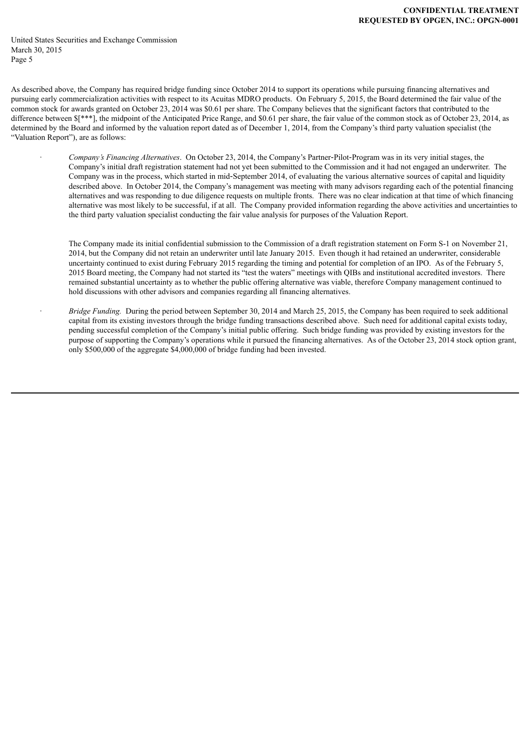As described above, the Company has required bridge funding since October 2014 to support its operations while pursuing financing alternatives and pursuing early commercialization activities with respect to its Acuitas MDRO products. On February 5, 2015, the Board determined the fair value of the common stock for awards granted on October 23, 2014 was \$0.61 per share. The Company believes that the significant factors that contributed to the difference between  $\frac{1}{2}$ , the midpoint of the Anticipated Price Range, and \$0.61 per share, the fair value of the common stock as of October 23, 2014, as determined by the Board and informed by the valuation report dated as of December 1, 2014, from the Company's third party valuation specialist (the "Valuation Report"), are as follows:

> · *Company's Financing Alternatives*. On October 23, 2014, the Company's Partner‑Pilot‑Program was in its very initial stages, the Company's initial draft registration statement had not yet been submitted to the Commission and it had not engaged an underwriter. The Company was in the process, which started in mid‑September 2014, of evaluating the various alternative sources of capital and liquidity described above. In October 2014, the Company's management was meeting with many advisors regarding each of the potential financing alternatives and was responding to due diligence requests on multiple fronts. There was no clear indication at that time of which financing alternative was most likely to be successful, if at all. The Company provided information regarding the above activities and uncertainties to the third party valuation specialist conducting the fair value analysis for purposes of the Valuation Report.

The Company made its initial confidential submission to the Commission of a draft registration statement on Form S-1 on November 21, 2014, but the Company did not retain an underwriter until late January 2015. Even though it had retained an underwriter, considerable uncertainty continued to exist during February 2015 regarding the timing and potential for completion of an IPO. As of the February 5, 2015 Board meeting, the Company had not started its "test the waters" meetings with QIBs and institutional accredited investors. There remained substantial uncertainty as to whether the public offering alternative was viable, therefore Company management continued to hold discussions with other advisors and companies regarding all financing alternatives.

· *Bridge Funding.* During the period between September 30, 2014 and March 25, 2015, the Company has been required to seek additional capital from its existing investors through the bridge funding transactions described above. Such need for additional capital exists today, pending successful completion of the Company's initial public offering. Such bridge funding was provided by existing investors for the purpose of supporting the Company's operations while it pursued the financing alternatives. As of the October 23, 2014 stock option grant, only \$500,000 of the aggregate \$4,000,000 of bridge funding had been invested.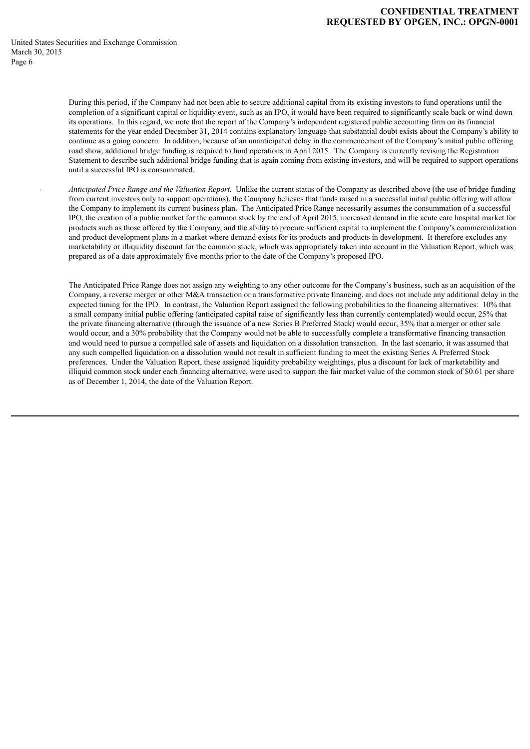#### **CONFIDENTIAL TREATMENT REQUESTED BY OPGEN, INC.: OPGN-0001**

United States Securities and Exchange Commission March 30, 2015 Page 6

> During this period, if the Company had not been able to secure additional capital from its existing investors to fund operations until the completion of a significant capital or liquidity event, such as an IPO, it would have been required to significantly scale back or wind down its operations. In this regard, we note that the report of the Company's independent registered public accounting firm on its financial statements for the year ended December 31, 2014 contains explanatory language that substantial doubt exists about the Company's ability to continue as a going concern. In addition, because of an unanticipated delay in the commencement of the Company's initial public offering road show, additional bridge funding is required to fund operations in April 2015. The Company is currently revising the Registration Statement to describe such additional bridge funding that is again coming from existing investors, and will be required to support operations until a successful IPO is consummated.

> · *Anticipated Price Range and the Valuation Report*. Unlike the current status of the Company as described above (the use of bridge funding from current investors only to support operations), the Company believes that funds raised in a successful initial public offering will allow the Company to implement its current business plan. The Anticipated Price Range necessarily assumes the consummation of a successful IPO, the creation of a public market for the common stock by the end of April 2015, increased demand in the acute care hospital market for products such as those offered by the Company, and the ability to procure sufficient capital to implement the Company's commercialization and product development plans in a market where demand exists for its products and products in development. It therefore excludes any marketability or illiquidity discount for the common stock, which was appropriately taken into account in the Valuation Report, which was prepared as of a date approximately five months prior to the date of the Company's proposed IPO.

> The Anticipated Price Range does not assign any weighting to any other outcome for the Company's business, such as an acquisition of the Company, a reverse merger or other M&A transaction or a transformative private financing, and does not include any additional delay in the expected timing for the IPO. In contrast, the Valuation Report assigned the following probabilities to the financing alternatives: 10% that a small company initial public offering (anticipated capital raise of significantly less than currently contemplated) would occur, 25% that the private financing alternative (through the issuance of a new Series B Preferred Stock) would occur, 35% that a merger or other sale would occur, and a 30% probability that the Company would not be able to successfully complete a transformative financing transaction and would need to pursue a compelled sale of assets and liquidation on a dissolution transaction. In the last scenario, it was assumed that any such compelled liquidation on a dissolution would not result in sufficient funding to meet the existing Series A Preferred Stock preferences. Under the Valuation Report, these assigned liquidity probability weightings, plus a discount for lack of marketability and illiquid common stock under each financing alternative, were used to support the fair market value of the common stock of \$0.61 per share as of December 1, 2014, the date of the Valuation Report.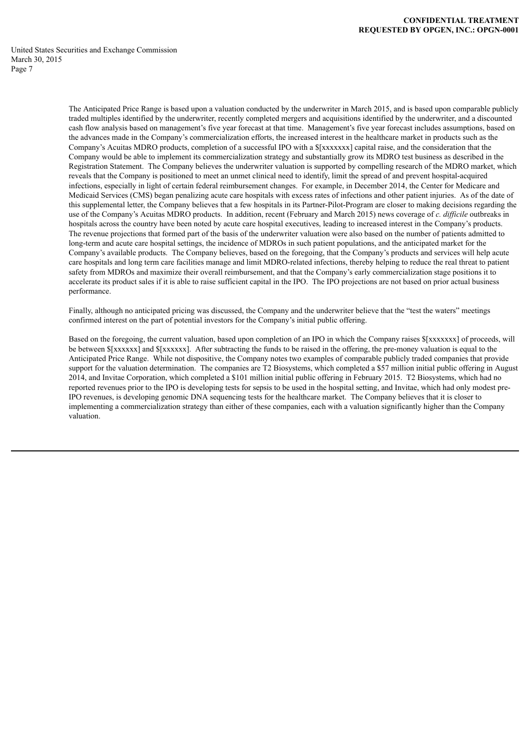> The Anticipated Price Range is based upon a valuation conducted by the underwriter in March 2015, and is based upon comparable publicly traded multiples identified by the underwriter, recently completed mergers and acquisitions identified by the underwriter, and a discounted cash flow analysis based on management's five year forecast at that time. Management's five year forecast includes assumptions, based on the advances made in the Company's commercialization efforts, the increased interest in the healthcare market in products such as the Company's Acuitas MDRO products, completion of a successful IPO with a  $[\{xxxxxxxx\}]$  capital raise, and the consideration that the Company would be able to implement its commercialization strategy and substantially grow its MDRO test business as described in the Registration Statement. The Company believes the underwriter valuation is supported by compelling research of the MDRO market, which reveals that the Company is positioned to meet an unmet clinical need to identify, limit the spread of and prevent hospital-acquired infections, especially in light of certain federal reimbursement changes. For example, in December 2014, the Center for Medicare and Medicaid Services (CMS) began penalizing acute care hospitals with excess rates of infections and other patient injuries. As of the date of this supplemental letter, the Company believes that a few hospitals in its Partner-Pilot-Program are closer to making decisions regarding the use of the Company's Acuitas MDRO products. In addition, recent (February and March 2015) news coverage of *c. dif icile* outbreaks in hospitals across the country have been noted by acute care hospital executives, leading to increased interest in the Company's products. The revenue projections that formed part of the basis of the underwriter valuation were also based on the number of patients admitted to long-term and acute care hospital settings, the incidence of MDROs in such patient populations, and the anticipated market for the Company's available products. The Company believes, based on the foregoing, that the Company's products and services will help acute care hospitals and long term care facilities manage and limit MDRO-related infections, thereby helping to reduce the real threat to patient safety from MDROs and maximize their overall reimbursement, and that the Company's early commercialization stage positions it to accelerate its product sales if it is able to raise sufficient capital in the IPO. The IPO projections are not based on prior actual business performance.

Finally, although no anticipated pricing was discussed, the Company and the underwriter believe that the "test the waters" meetings confirmed interest on the part of potential investors for the Company's initial public offering.

Based on the foregoing, the current valuation, based upon completion of an IPO in which the Company raises  $\frac{1}{x}xxxxxx$  of proceeds, will be between \$[xxxxxx] and \$[xxxxxx]. After subtracting the funds to be raised in the offering, the pre-money valuation is equal to the Anticipated Price Range. While not dispositive, the Company notes two examples of comparable publicly traded companies that provide support for the valuation determination. The companies are T2 Biosystems, which completed a \$57 million initial public offering in August 2014, and Invitae Corporation, which completed a \$101 million initial public offering in February 2015. T2 Biosystems, which had no reported revenues prior to the IPO is developing tests for sepsis to be used in the hospital setting, and Invitae, which had only modest pre-IPO revenues, is developing genomic DNA sequencing tests for the healthcare market. The Company believes that it is closer to implementing a commercialization strategy than either of these companies, each with a valuation significantly higher than the Company valuation.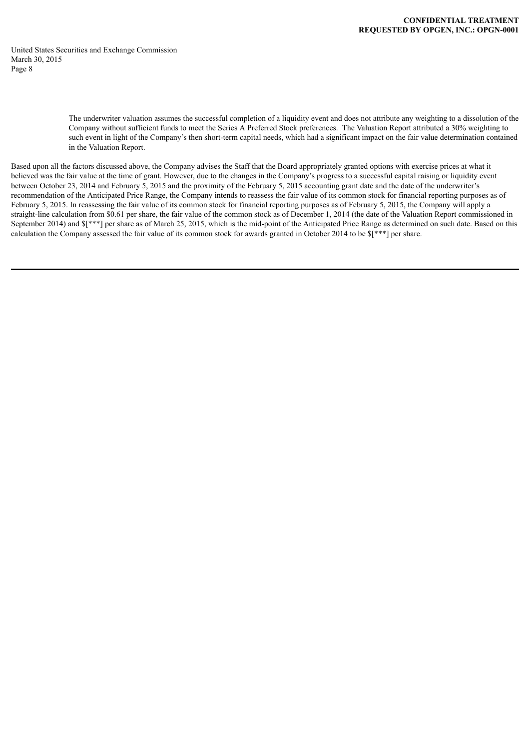> The underwriter valuation assumes the successful completion of a liquidity event and does not attribute any weighting to a dissolution of the Company without sufficient funds to meet the Series A Preferred Stock preferences. The Valuation Report attributed a 30% weighting to such event in light of the Company's then short-term capital needs, which had a significant impact on the fair value determination contained in the Valuation Report.

Based upon all the factors discussed above, the Company advises the Staff that the Board appropriately granted options with exercise prices at what it believed was the fair value at the time of grant. However, due to the changes in the Company's progress to a successful capital raising or liquidity event between October 23, 2014 and February 5, 2015 and the proximity of the February 5, 2015 accounting grant date and the date of the underwriter's recommendation of the Anticipated Price Range, the Company intends to reassess the fair value of its common stock for financial reporting purposes as of February 5, 2015. In reassessing the fair value of its common stock for financial reporting purposes as of February 5, 2015, the Company will apply a straight-line calculation from \$0.61 per share, the fair value of the common stock as of December 1, 2014 (the date of the Valuation Report commissioned in September 2014) and  $\{\ast\ast\ast\}$  per share as of March 25, 2015, which is the mid-point of the Anticipated Price Range as determined on such date. Based on this calculation the Company assessed the fair value of its common stock for awards granted in October 2014 to be \$[\*\*\*] per share.